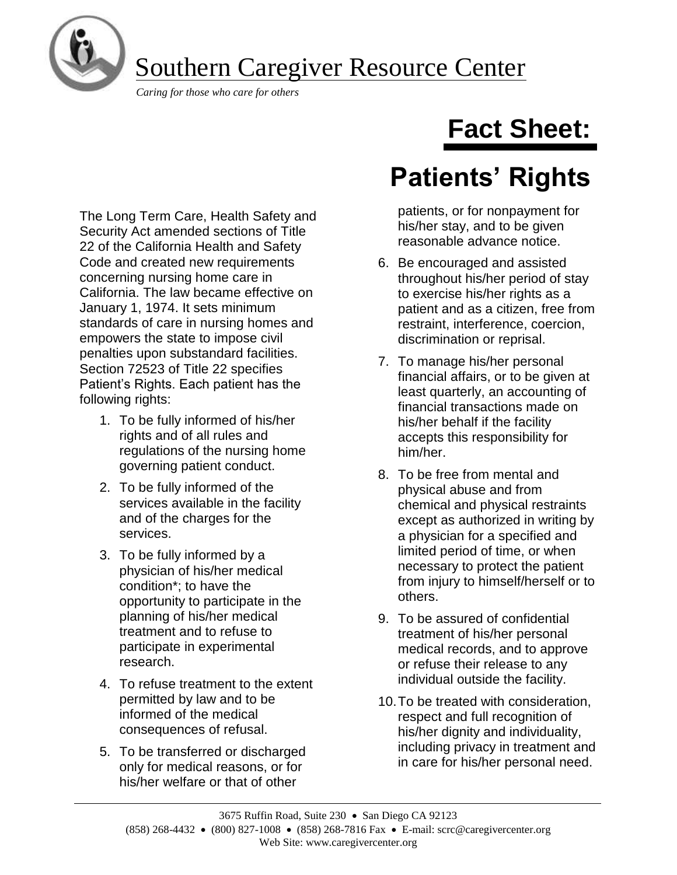

Southern Caregiver Resource Center

*Caring for those who care for others*

The Long Term Care, Health Safety and Security Act amended sections of Title 22 of the California Health and Safety Code and created new requirements concerning nursing home care in California. The law became effective on January 1, 1974. It sets minimum standards of care in nursing homes and empowers the state to impose civil penalties upon substandard facilities. Section 72523 of Title 22 specifies Patient's Rights. Each patient has the following rights:

- 1. To be fully informed of his/her rights and of all rules and regulations of the nursing home governing patient conduct.
- 2. To be fully informed of the services available in the facility and of the charges for the services.
- 3. To be fully informed by a physician of his/her medical condition\*; to have the opportunity to participate in the planning of his/her medical treatment and to refuse to participate in experimental research.
- 4. To refuse treatment to the extent permitted by law and to be informed of the medical consequences of refusal.
- 5. To be transferred or discharged only for medical reasons, or for his/her welfare or that of other

# **Fact Sheet:**

## **Patients' Rights**

patients, or for nonpayment for his/her stay, and to be given reasonable advance notice.

- 6. Be encouraged and assisted throughout his/her period of stay to exercise his/her rights as a patient and as a citizen, free from restraint, interference, coercion, discrimination or reprisal.
- 7. To manage his/her personal financial affairs, or to be given at least quarterly, an accounting of financial transactions made on his/her behalf if the facility accepts this responsibility for him/her.
- 8. To be free from mental and physical abuse and from chemical and physical restraints except as authorized in writing by a physician for a specified and limited period of time, or when necessary to protect the patient from injury to himself/herself or to others.
- 9. To be assured of confidential treatment of his/her personal medical records, and to approve or refuse their release to any individual outside the facility.
- 10.To be treated with consideration, respect and full recognition of his/her dignity and individuality, including privacy in treatment and in care for his/her personal need.